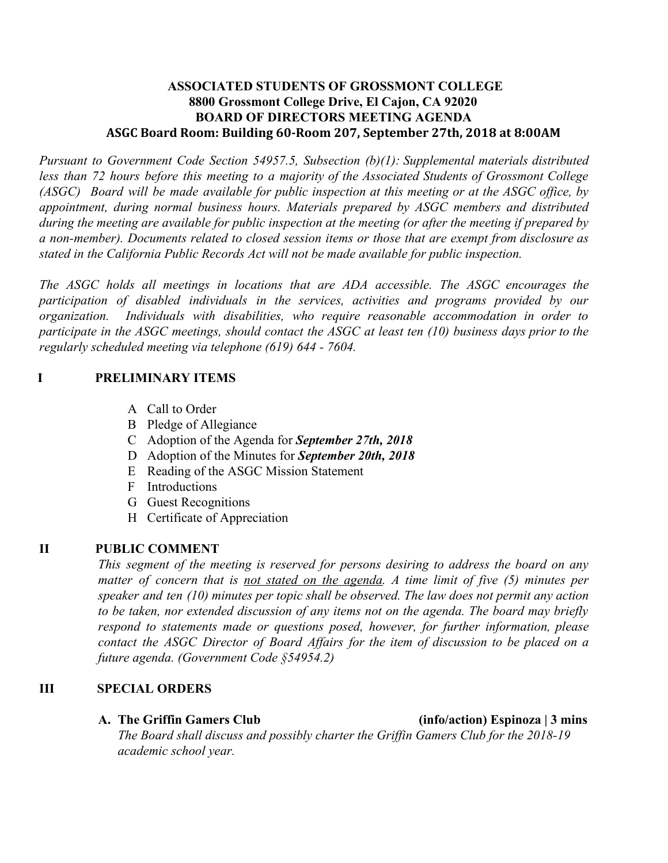## **ASSOCIATED STUDENTS OF GROSSMONT COLLEGE 8800 Grossmont College Drive, El Cajon, CA 92020 BOARD OF DIRECTORS MEETING AGENDA ASGC Board Room: Building 60-Room 207, September 27th, 2018 at 8:00AM**

*Pursuant to Government Code Section 54957.5, Subsection (b)(1): Supplemental materials distributed less than 72 hours before this meeting to a majority of the Associated Students of Grossmont College* (ASGC) Board will be made available for public inspection at this meeting or at the ASGC office, by *appointment, during normal business hours. Materials prepared by ASGC members and distributed* during the meeting are available for public inspection at the meeting (or after the meeting if prepared by *a non-member). Documents related to closed session items or those that are exempt from disclosure as stated in the California Public Records Act will not be made available for public inspection.* 

*The ASGC holds all meetings in locations that are ADA accessible. The ASGC encourages the participation of disabled individuals in the services, activities and programs provided by our organization. Individuals with disabilities, who require reasonable accommodation in order to* participate in the ASGC meetings, should contact the ASGC at least ten  $(10)$  business days prior to the *regularly scheduled meeting via telephone (619) 644 - 7604.*

## **I PRELIMINARY ITEMS**

- A Call to Order
- B Pledge of Allegiance
- C Adoption of the Agenda for *September 27th, 2018*
- D Adoption of the Minutes for *September 20th, 2018*
- E Reading of the ASGC Mission Statement
- F Introductions
- G Guest Recognitions
- H Certificate of Appreciation

# **II PUBLIC COMMENT**

*This segment of the meeting is reserved for persons desiring to address the board on any matter of concern that is not stated on the agenda. A time limit of five (5) minutes per speaker and ten (10) minutes per topic shall be observed. The law does not permit any action to be taken, nor extended discussion of any items not on the agenda. The board may briefly respond to statements made or questions posed, however, for further information, please contact the ASGC Director of Board Affairs for the item of discussion to be placed on a future agenda. (Government Code §54954.2)*

## **III SPECIAL ORDERS**

*The Board shall discuss and possibly charter the Griffin Gamers Club for the 2018-19 academic school year.*

### **A. The Griffin Gamers Club (info/action) Espinoza | 3 mins**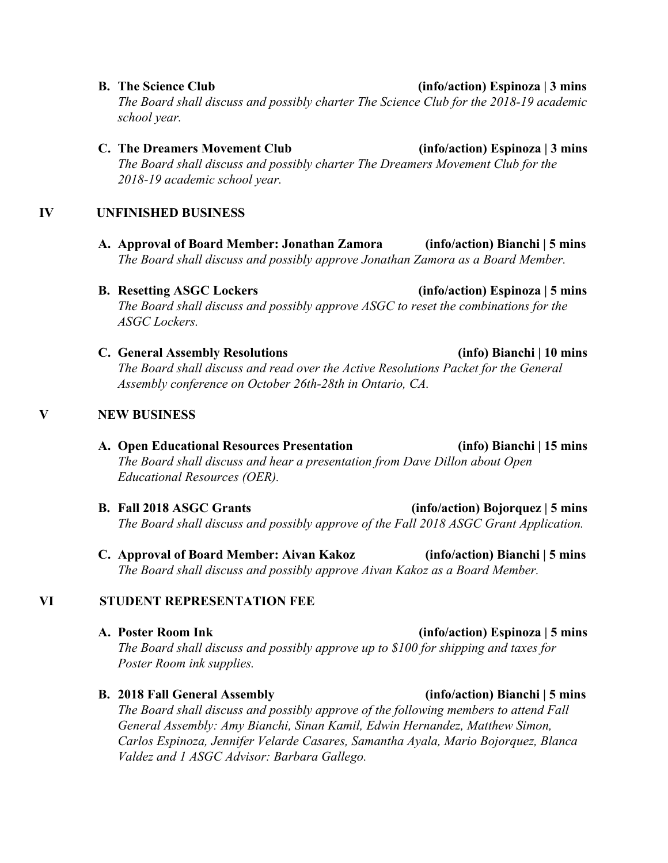### **B. The Science Club (info/action) Espinoza | 3 mins**

*The Board shall discuss and possibly charter The Science Club for the 2018-19 academic school year.*

#### **C. The Dreamers Movement Club (info/action) Espinoza | 3 mins**

*The Board shall discuss and possibly charter The Dreamers Movement Club for the 2018-19 academic school year.*

#### **IV UNFINISHED BUSINESS**

- **A. Approval of Board Member: Jonathan Zamora (info/action) Bianchi | 5 mins** *The Board shall discuss and possibly approve Jonathan Zamora as a Board Member.*
- **B. Resetting ASGC Lockers (info/action) Espinoza | 5 mins** *The Board shall discuss and possibly approve ASGC to reset the combinations for the ASGC Lockers.*
- **C. General Assembly Resolutions (info) Bianchi | 10 mins** *The Board shall discuss and read over the Active Resolutions Packet for the General Assembly conference on October 26th-28th in Ontario, CA.*

#### **V NEW BUSINESS**

**A. Open Educational Resources Presentation (info) Bianchi | 15 mins** *The Board shall discuss and hear a presentation from Dave Dillon about Open Educational Resources (OER).*

- **B. Fall 2018 ASGC Grants (info/action) Bojorquez | 5 mins** *The Board shall discuss and possibly approve of the Fall 2018 ASGC Grant Application.*
- **C. Approval of Board Member: Aivan Kakoz (info/action) Bianchi | 5 mins** *The Board shall discuss and possibly approve Aivan Kakoz as a Board Member.*

## **VI STUDENT REPRESENTATION FEE**

- **A. Poster Room Ink (info/action) Espinoza | 5 mins** *The Board shall discuss and possibly approve up to \$100 for shipping and taxes for Poster Room ink supplies.*
- **B. 2018 Fall General Assembly (info/action) Bianchi | 5 mins** *The Board shall discuss and possibly approve of the following members to attend Fall General Assembly: Amy Bianchi, Sinan Kamil, Edwin Hernandez, Matthew Simon, Carlos Espinoza, Jennifer Velarde Casares, Samantha Ayala, Mario Bojorquez, Blanca Valdez and 1 ASGC Advisor: Barbara Gallego.*